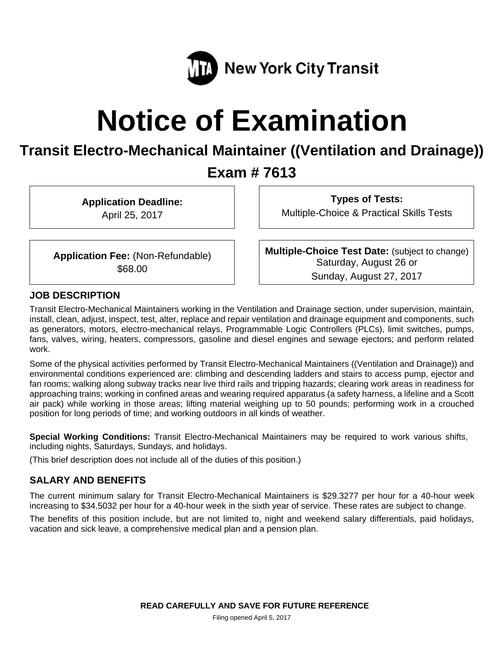

# **Notice of Examination**

## **Transit Electro-Mechanical Maintainer ((Ventilation and Drainage))**

### **Exam # 7613**

**Application Deadline:** 

April 25, 2017

**Types of Tests:**  Multiple-Choice & Practical Skills Tests

**Application Fee:** (Non-Refundable) \$68.00

**Multiple-Choice Test Date:** (subject to change) Saturday, August 26 or Sunday, August 27, 2017

#### **JOB DESCRIPTION**

Transit Electro-Mechanical Maintainers working in the Ventilation and Drainage section, under supervision, maintain, install, clean, adjust, inspect, test, alter, replace and repair ventilation and drainage equipment and components, such as generators, motors, electro-mechanical relays, Programmable Logic Controllers (PLCs), limit switches, pumps, fans, valves, wiring, heaters, compressors, gasoline and diesel engines and sewage ejectors; and perform related work.

Some of the physical activities performed by Transit Electro-Mechanical Maintainers ((Ventilation and Drainage)) and environmental conditions experienced are: climbing and descending ladders and stairs to access pump, ejector and fan rooms; walking along subway tracks near live third rails and tripping hazards; clearing work areas in readiness for approaching trains; working in confined areas and wearing required apparatus (a safety harness, a lifeline and a Scott air pack) while working in those areas; lifting material weighing up to 50 pounds; performing work in a crouched position for long periods of time; and working outdoors in all kinds of weather.

**Special Working Conditions:** Transit Electro-Mechanical Maintainers may be required to work various shifts, including nights, Saturdays, Sundays, and holidays.

(This brief description does not include all of the duties of this position.)

#### **SALARY AND BENEFITS**

The current minimum salary for Transit Electro-Mechanical Maintainers is \$29.3277 per hour for a 40-hour week increasing to \$34.5032 per hour for a 40-hour week in the sixth year of service. These rates are subject to change.

The benefits of this position include, but are not limited to, night and weekend salary differentials, paid holidays, vacation and sick leave, a comprehensive medical plan and a pension plan.

Filing opened April 5, 2017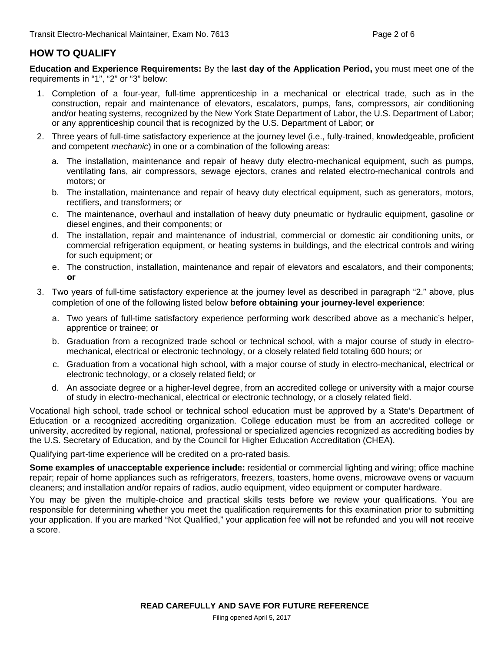#### **HOW TO QUALIFY**

**Education and Experience Requirements:** By the **last day of the Application Period,** you must meet one of the requirements in "1", "2" or "3" below:

- 1. Completion of a four-year, full-time apprenticeship in a mechanical or electrical trade, such as in the construction, repair and maintenance of elevators, escalators, pumps, fans, compressors, air conditioning and/or heating systems, recognized by the New York State Department of Labor, the U.S. Department of Labor; or any apprenticeship council that is recognized by the U.S. Department of Labor; **or**
- 2. Three years of full-time satisfactory experience at the journey level (i.e., fully-trained, knowledgeable, proficient and competent *mechanic*) in one or a combination of the following areas:
	- a. The installation, maintenance and repair of heavy duty electro-mechanical equipment, such as pumps, ventilating fans, air compressors, sewage ejectors, cranes and related electro-mechanical controls and motors; or
	- b. The installation, maintenance and repair of heavy duty electrical equipment, such as generators, motors, rectifiers, and transformers; or
	- c. The maintenance, overhaul and installation of heavy duty pneumatic or hydraulic equipment, gasoline or diesel engines, and their components; or
	- d. The installation, repair and maintenance of industrial, commercial or domestic air conditioning units, or commercial refrigeration equipment, or heating systems in buildings, and the electrical controls and wiring for such equipment; or
	- e. The construction, installation, maintenance and repair of elevators and escalators, and their components; **or**
- 3. Two years of full-time satisfactory experience at the journey level as described in paragraph "2." above, plus completion of one of the following listed below **before obtaining your journey-level experience**:
	- a. Two years of full-time satisfactory experience performing work described above as a mechanic's helper, apprentice or trainee; or
	- b. Graduation from a recognized trade school or technical school, with a major course of study in electromechanical, electrical or electronic technology, or a closely related field totaling 600 hours; or
	- c. Graduation from a vocational high school, with a major course of study in electro-mechanical, electrical or electronic technology, or a closely related field; or
	- d. An associate degree or a higher-level degree, from an accredited college or university with a major course of study in electro-mechanical, electrical or electronic technology, or a closely related field.

Vocational high school, trade school or technical school education must be approved by a State's Department of Education or a recognized accrediting organization. College education must be from an accredited college or university, accredited by regional, national, professional or specialized agencies recognized as accrediting bodies by the U.S. Secretary of Education, and by the Council for Higher Education Accreditation (CHEA).

Qualifying part-time experience will be credited on a pro-rated basis.

**Some examples of unacceptable experience include:** residential or commercial lighting and wiring; office machine repair; repair of home appliances such as refrigerators, freezers, toasters, home ovens, microwave ovens or vacuum cleaners; and installation and/or repairs of radios, audio equipment, video equipment or computer hardware.

You may be given the multiple-choice and practical skills tests before we review your qualifications. You are responsible for determining whether you meet the qualification requirements for this examination prior to submitting your application. If you are marked "Not Qualified," your application fee will **not** be refunded and you will **not** receive a score.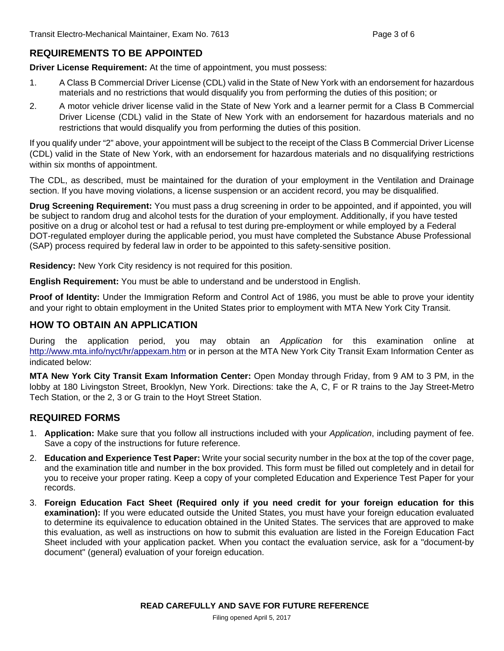#### **REQUIREMENTS TO BE APPOINTED**

**Driver License Requirement:** At the time of appointment, you must possess:

- 1. A Class B Commercial Driver License (CDL) valid in the State of New York with an endorsement for hazardous materials and no restrictions that would disqualify you from performing the duties of this position; or
- 2. A motor vehicle driver license valid in the State of New York and a learner permit for a Class B Commercial Driver License (CDL) valid in the State of New York with an endorsement for hazardous materials and no restrictions that would disqualify you from performing the duties of this position.

If you qualify under "2" above, your appointment will be subject to the receipt of the Class B Commercial Driver License (CDL) valid in the State of New York, with an endorsement for hazardous materials and no disqualifying restrictions within six months of appointment.

The CDL, as described, must be maintained for the duration of your employment in the Ventilation and Drainage section. If you have moving violations, a license suspension or an accident record, you may be disqualified.

**Drug Screening Requirement:** You must pass a drug screening in order to be appointed, and if appointed, you will be subject to random drug and alcohol tests for the duration of your employment. Additionally, if you have tested positive on a drug or alcohol test or had a refusal to test during pre-employment or while employed by a Federal DOT-regulated employer during the applicable period, you must have completed the Substance Abuse Professional (SAP) process required by federal law in order to be appointed to this safety-sensitive position.

**Residency:** New York City residency is not required for this position.

**English Requirement:** You must be able to understand and be understood in English.

**Proof of Identity:** Under the Immigration Reform and Control Act of 1986, you must be able to prove your identity and your right to obtain employment in the United States prior to employment with MTA New York City Transit.

#### **HOW TO OBTAIN AN APPLICATION**

During the application period, you may obtain an *Application* for this examination online at http://www.mta.info/nyct/hr/appexam.htm or in person at the MTA New York City Transit Exam Information Center as indicated below:

**MTA New York City Transit Exam Information Center:** Open Monday through Friday, from 9 AM to 3 PM, in the lobby at 180 Livingston Street, Brooklyn, New York. Directions: take the A, C, F or R trains to the Jay Street-Metro Tech Station, or the 2, 3 or G train to the Hoyt Street Station.

#### **REQUIRED FORMS**

- 1. **Application:** Make sure that you follow all instructions included with your *Application*, including payment of fee. Save a copy of the instructions for future reference.
- 2. **Education and Experience Test Paper:** Write your social security number in the box at the top of the cover page, and the examination title and number in the box provided. This form must be filled out completely and in detail for you to receive your proper rating. Keep a copy of your completed Education and Experience Test Paper for your records.
- 3. **Foreign Education Fact Sheet (Required only if you need credit for your foreign education for this examination):** If you were educated outside the United States, you must have your foreign education evaluated to determine its equivalence to education obtained in the United States. The services that are approved to make this evaluation, as well as instructions on how to submit this evaluation are listed in the Foreign Education Fact Sheet included with your application packet. When you contact the evaluation service, ask for a "document-by document" (general) evaluation of your foreign education.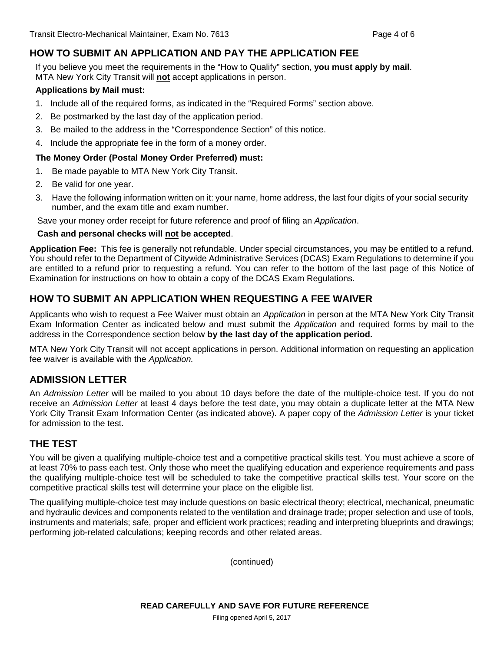#### **HOW TO SUBMIT AN APPLICATION AND PAY THE APPLICATION FEE**

If you believe you meet the requirements in the "How to Qualify" section, **you must apply by mail**. MTA New York City Transit will **not** accept applications in person.

#### **Applications by Mail must:**

- 1. Include all of the required forms, as indicated in the "Required Forms" section above.
- 2. Be postmarked by the last day of the application period.
- 3. Be mailed to the address in the "Correspondence Section" of this notice.
- 4. Include the appropriate fee in the form of a money order.

#### **The Money Order (Postal Money Order Preferred) must:**

- 1. Be made payable to MTA New York City Transit.
- 2. Be valid for one year.
- 3. Have the following information written on it: your name, home address, the last four digits of your social security number, and the exam title and exam number.

Save your money order receipt for future reference and proof of filing an *Application*.

#### **Cash and personal checks will not be accepted**.

**Application Fee:** This fee is generally not refundable. Under special circumstances, you may be entitled to a refund. You should refer to the Department of Citywide Administrative Services (DCAS) Exam Regulations to determine if you are entitled to a refund prior to requesting a refund. You can refer to the bottom of the last page of this Notice of Examination for instructions on how to obtain a copy of the DCAS Exam Regulations.

#### **HOW TO SUBMIT AN APPLICATION WHEN REQUESTING A FEE WAIVER**

Applicants who wish to request a Fee Waiver must obtain an *Application* in person at the MTA New York City Transit Exam Information Center as indicated below and must submit the *Application* and required forms by mail to the address in the Correspondence section below **by the last day of the application period.**

MTA New York City Transit will not accept applications in person. Additional information on requesting an application fee waiver is available with the *Application.* 

#### **ADMISSION LETTER**

An *Admission Letter* will be mailed to you about 10 days before the date of the multiple-choice test. If you do not receive an *Admission Letter* at least 4 days before the test date, you may obtain a duplicate letter at the MTA New York City Transit Exam Information Center (as indicated above). A paper copy of the *Admission Letter* is your ticket for admission to the test.

#### **THE TEST**

You will be given a qualifying multiple-choice test and a competitive practical skills test. You must achieve a score of at least 70% to pass each test. Only those who meet the qualifying education and experience requirements and pass the qualifying multiple-choice test will be scheduled to take the competitive practical skills test. Your score on the competitive practical skills test will determine your place on the eligible list.

The qualifying multiple-choice test may include questions on basic electrical theory; electrical, mechanical, pneumatic and hydraulic devices and components related to the ventilation and drainage trade; proper selection and use of tools, instruments and materials; safe, proper and efficient work practices; reading and interpreting blueprints and drawings; performing job-related calculations; keeping records and other related areas.

(continued)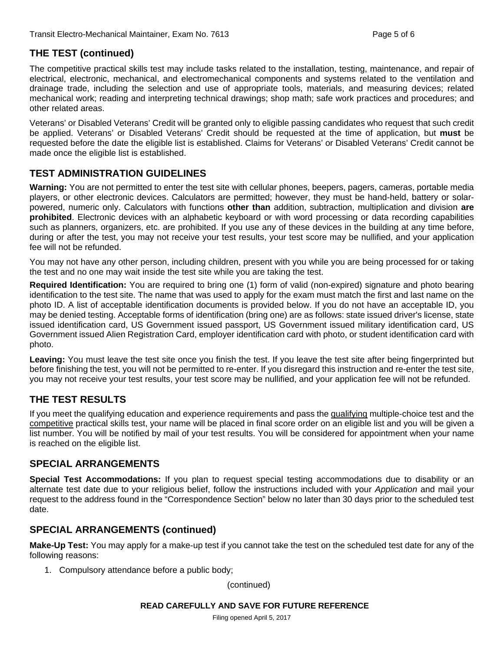#### **THE TEST (continued)**

The competitive practical skills test may include tasks related to the installation, testing, maintenance, and repair of electrical, electronic, mechanical, and electromechanical components and systems related to the ventilation and drainage trade, including the selection and use of appropriate tools, materials, and measuring devices; related mechanical work; reading and interpreting technical drawings; shop math; safe work practices and procedures; and other related areas.

Veterans' or Disabled Veterans' Credit will be granted only to eligible passing candidates who request that such credit be applied. Veterans' or Disabled Veterans' Credit should be requested at the time of application, but **must** be requested before the date the eligible list is established. Claims for Veterans' or Disabled Veterans' Credit cannot be made once the eligible list is established.

#### **TEST ADMINISTRATION GUIDELINES**

**Warning:** You are not permitted to enter the test site with cellular phones, beepers, pagers, cameras, portable media players, or other electronic devices. Calculators are permitted; however, they must be hand-held, battery or solarpowered, numeric only. Calculators with functions **other than** addition, subtraction, multiplication and division **are prohibited**. Electronic devices with an alphabetic keyboard or with word processing or data recording capabilities such as planners, organizers, etc. are prohibited. If you use any of these devices in the building at any time before, during or after the test, you may not receive your test results, your test score may be nullified, and your application fee will not be refunded.

You may not have any other person, including children, present with you while you are being processed for or taking the test and no one may wait inside the test site while you are taking the test.

**Required Identification:** You are required to bring one (1) form of valid (non-expired) signature and photo bearing identification to the test site. The name that was used to apply for the exam must match the first and last name on the photo ID. A list of acceptable identification documents is provided below. If you do not have an acceptable ID, you may be denied testing. Acceptable forms of identification (bring one) are as follows: state issued driver's license, state issued identification card, US Government issued passport, US Government issued military identification card, US Government issued Alien Registration Card, employer identification card with photo, or student identification card with photo.

**Leaving:** You must leave the test site once you finish the test. If you leave the test site after being fingerprinted but before finishing the test, you will not be permitted to re-enter. If you disregard this instruction and re-enter the test site, you may not receive your test results, your test score may be nullified, and your application fee will not be refunded.

#### **THE TEST RESULTS**

If you meet the qualifying education and experience requirements and pass the qualifying multiple-choice test and the competitive practical skills test, your name will be placed in final score order on an eligible list and you will be given a list number. You will be notified by mail of your test results. You will be considered for appointment when your name is reached on the eligible list.

#### **SPECIAL ARRANGEMENTS**

**Special Test Accommodations:** If you plan to request special testing accommodations due to disability or an alternate test date due to your religious belief, follow the instructions included with your *Application* and mail your request to the address found in the "Correspondence Section" below no later than 30 days prior to the scheduled test date.

#### **SPECIAL ARRANGEMENTS (continued)**

**Make-Up Test:** You may apply for a make-up test if you cannot take the test on the scheduled test date for any of the following reasons:

1. Compulsory attendance before a public body;

(continued)

#### **READ CAREFULLY AND SAVE FOR FUTURE REFERENCE**

Filing opened April 5, 2017